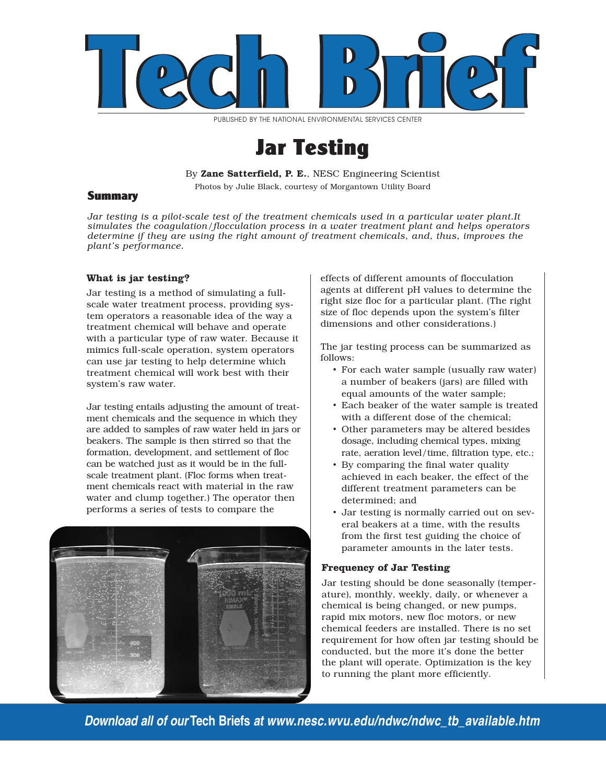

PUBLISHED BY THE NATIONAL ENVIRONMENTAL SERVICES CENTER

# Jar Testing

By Zane Satterfield, P. E., NESC Engineering Scientist

Photos by Julie Black, courtesy of Morgantown Utility Board

## **Summary**

*Jar testing is a pilot-scale test of the treatment chemicals used in a particular water plant.It simulates the coagulation/flocculation process in a water treatment plant and helps operators determine if they are using the right amount of treatment chemicals, and, thus, improves the plant's performance.* 

## **What is jar testing?**

Jar testing is a method of simulating a fullscale water treatment process, providing system operators a reasonable idea of the way a treatment chemical will behave and operate with a particular type of raw water. Because it mimics full-scale operation, system operators can use jar testing to help determine which treatment chemical will work best with their system's raw water.

Jar testing entails adjusting the amount of treatment chemicals and the sequence in which they are added to samples of raw water held in jars or beakers. The sample is then stirred so that the formation, development, and settlement of floc can be watched just as it would be in the fullscale treatment plant. (Floc forms when treatment chemicals react with material in the raw water and clump together.) The operator then performs a series of tests to compare the



effects of different amounts of flocculation agents at different pH values to determine the right size floc for a particular plant. (The right size of floc depends upon the system's filter dimensions and other considerations.)

The jar testing process can be summarized as follows:

- For each water sample (usually raw water) a number of beakers (jars) are filled with equal amounts of the water sample;
- Each beaker of the water sample is treated with a different dose of the chemical;
- Other parameters may be altered besides dosage, including chemical types, mixing rate, aeration level/time, filtration type, etc.;
- By comparing the final water quality achieved in each beaker, the effect of the different treatment parameters can be determined; and
- Jar testing is normally carried out on several beakers at a time, with the results from the first test guiding the choice of parameter amounts in the later tests.

## **Frequency of Jar Testing**

Jar testing should be done seasonally (temperature), monthly, weekly, daily, or whenever a chemical is being changed, or new pumps, rapid mix motors, new floc motors, or new chemical feeders are installed. There is no set requirement for how often jar testing should be conducted, but the more it's done the better the plant will operate. Optimization is the key to running the plant more efficiently.

*Download all of our* **Tech Briefs** *at www.nesc.wvu.edu/ndwc/ndwc\_tb\_available.htm*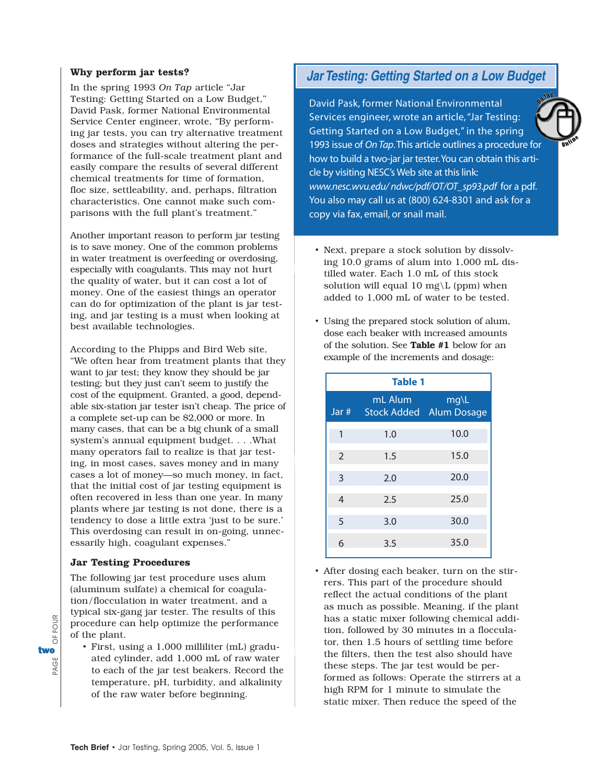## **Why perform jar tests?**

In the spring 1993 *On Tap* article "Jar Testing: Getting Started on a Low Budget," David Pask, former National Environmental Service Center engineer, wrote, "By performing jar tests, you can try alternative treatment doses and strategies without altering the performance of the full-scale treatment plant and easily compare the results of several different chemical treatments for time of formation, floc size, settleability, and, perhaps, filtration characteristics. One cannot make such comparisons with the full plant's treatment."

Another important reason to perform jar testing is to save money. One of the common problems in water treatment is overfeeding or overdosing, especially with coagulants. This may not hurt the quality of water, but it can cost a lot of money. One of the easiest things an operator can do for optimization of the plant is jar testing, and jar testing is a must when looking at best available technologies.

According to the Phipps and Bird Web site, "We often hear from treatment plants that they want to jar test; they know they should be jar testing; but they just can't seem to justify the cost of the equipment. Granted, a good, dependable six-station jar tester isn't cheap. The price of a complete set-up can be \$2,000 or more. In many cases, that can be a big chunk of a small system's annual equipment budget. . . .What many operators fail to realize is that jar testing, in most cases, saves money and in many cases a lot of money—so much money, in fact, that the initial cost of jar testing equipment is often recovered in less than one year. In many plants where jar testing is not done, there is a tendency to dose a little extra 'just to be sure.' This overdosing can result in on-going, unnecessarily high, coagulant expenses."

## **Jar Testing Procedures**

PAGE OF FOUR two

Ğ R

OF FOUR

The following jar test procedure uses alum (aluminum sulfate) a chemical for coagulation/flocculation in water treatment, and a typical six-gang jar tester. The results of this procedure can help optimize the performance of the plant.

• First, using a 1,000 milliliter (mL) graduated cylinder, add 1,000 mL of raw water to each of the jar test beakers. Record the temperature, pH, turbidity, and alkalinity of the raw water before beginning.

## *Jar Testing: Getting Started on a Low Budget*

David Pask, former National Environmental Services engineer, wrote an article, "Jar Testing: Getting Started on a Low Budget," in the spring 1993 issue of *On Tap*.This article outlines a procedure for how to build a two-jar jar tester.You can obtain this article by visiting NESC's Web site at this link: *www.nesc.wvu.edu/ ndwc/pdf/OT/OT\_sp93.pdf* for a pdf. You also may call us at (800) 624-8301 and ask for a copy via fax, email, or snail mail.

- Next, prepare a stock solution by dissolving 10.0 grams of alum into 1,000 mL distilled water. Each 1.0 mL of this stock solution will equal 10 mg $\L$  (ppm) when added to 1,000 mL of water to be tested.
- Using the prepared stock solution of alum, dose each beaker with increased amounts of the solution. See Table #1 below for an example of the increments and dosage:

| <b>Table 1</b> |         |                                        |
|----------------|---------|----------------------------------------|
| Jar #          | mL Alum | mg\L<br><b>Stock Added</b> Alum Dosage |
| 1              | 1.0     | 10.0                                   |
| $\overline{2}$ | 1.5     | 15.0                                   |
| 3              | 2.0     | 20.0                                   |
| $\overline{4}$ | 2.5     | 25.0                                   |
| 5              | 3.0     | 30.0                                   |
| 6              | 3.5     | 35.0                                   |

• After dosing each beaker, turn on the stirrers. This part of the procedure should reflect the actual conditions of the plant as much as possible. Meaning, if the plant has a static mixer following chemical addition, followed by 30 minutes in a flocculator, then 1.5 hours of settling time before the filters, then the test also should have these steps. The jar test would be performed as follows: Operate the stirrers at a high RPM for 1 minute to simulate the static mixer. Then reduce the speed of the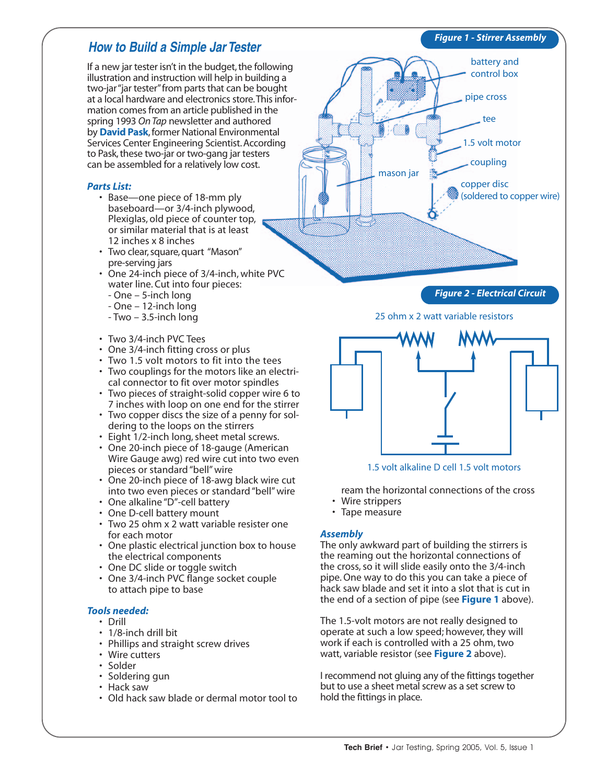If a new jar tester isn't in the budget, the following illustration and instruction will help in building a two-jar "jar tester" from parts that can be bought at a local hardware and electronics store.This information comes from an article published in the spring 1993 *On Tap* newsletter and authored by **David Pask**, former National Environmental Services Center Engineering Scientist. According to Pask, these two-jar or two-gang jar testers can be assembled for a relatively low cost.

## *Parts List:*

- Base—one piece of 18-mm ply baseboard—or 3/4-inch plywood, Plexiglas, old piece of counter top, or similar material that is at least 12 inches x 8 inches
- Two clear, square, quart "Mason" pre-serving jars
- One 24-inch piece of 3/4-inch, white PVC water line. Cut into four pieces:
	- One 5-inch long
	- One 12-inch long
	- Two 3.5-inch long
- Two 3/4-inch PVC Tees
- One 3/4-inch fitting cross or plus
- Two 1.5 volt motors to fit into the tees
- Two couplings for the motors like an electrical connector to fit over motor spindles
- Two pieces of straight-solid copper wire 6 to 7 inches with loop on one end for the stirrer
- Two copper discs the size of a penny for soldering to the loops on the stirrers
- Eight 1/2-inch long, sheet metal screws.
- One 20-inch piece of 18-gauge (American Wire Gauge awg) red wire cut into two even pieces or standard "bell" wire
- One 20-inch piece of 18-awg black wire cut into two even pieces or standard "bell" wire
- One alkaline "D"-cell battery
- One D-cell battery mount
- Two 25 ohm x 2 watt variable resister one for each motor
- One plastic electrical junction box to house the electrical components
- One DC slide or toggle switch
- One 3/4-inch PVC flange socket couple to attach pipe to base

## *Tools needed:*

- Drill
- 1/8-inch drill bit
- Phillips and straight screw drives
- Wire cutters
- Solder
- Soldering gun
- Hack saw
- Old hack saw blade or dermal motor tool to



25 ohm x 2 watt variable resistors



1.5 volt alkaline D cell 1.5 volt motors

ream the horizontal connections of the cross

- Wire strippers
- Tape measure

## *Assembly*

The only awkward part of building the stirrers is the reaming out the horizontal connections of the cross, so it will slide easily onto the 3/4-inch pipe. One way to do this you can take a piece of hack saw blade and set it into a slot that is cut in the end of a section of pipe (see **Figure 1** above).

The 1.5-volt motors are not really designed to operate at such a low speed; however, they will work if each is controlled with a 25 ohm, two watt, variable resistor (see **Figure 2** above).

I recommend not gluing any of the fittings together but to use a sheet metal screw as a set screw to hold the fittings in place.